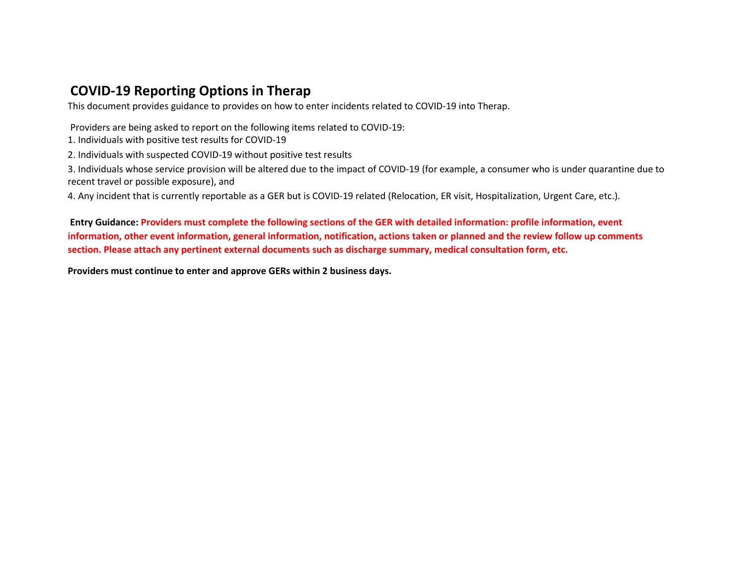## **COVID-19 Reporting Options in Therap**

This document provides guidance to provides on how to enter incidents related to COVID-19 into Therap.

Providers are being asked to report on the following items related to COVID-19:

1. Individuals with positive test results for COVID-19

2. Individuals with suspected COVID-19 without positive test results

3. Individuals whose service provision will be altered due to the impact of COVID-19 (for example, a consumer who is under quarantine due to recent travel or possible exposure), and

4. Any incident that is currently reportable as a GER but is COVID-19 related (Relocation, ER visit, Hospitalization, Urgent Care, etc.).

**Entry Guidance: Providers must complete the following sections of the GER with detailed information: profile information, event information, other event information, general information, notification, actions taken or planned and the review follow up comments section. Please attach any pertinent external documents such as discharge summary, medical consultation form, etc.** 

**Providers must continue to enter and approve GERs within 2 business days.**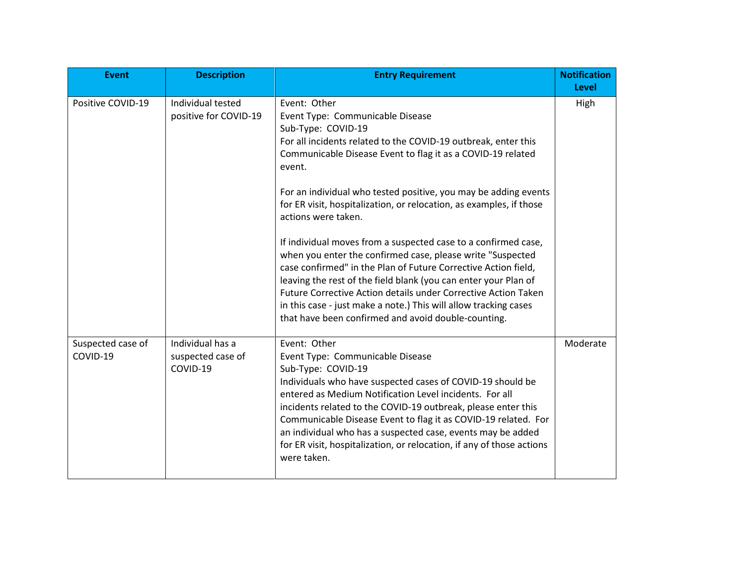| <b>Event</b>                  | <b>Description</b>                                | <b>Entry Requirement</b>                                                                                                                                                                                                                                                                                                                                                                                                                                                                                                                                                                                                                                                                                                                                                                                                                             | <b>Notification</b><br><b>Level</b> |
|-------------------------------|---------------------------------------------------|------------------------------------------------------------------------------------------------------------------------------------------------------------------------------------------------------------------------------------------------------------------------------------------------------------------------------------------------------------------------------------------------------------------------------------------------------------------------------------------------------------------------------------------------------------------------------------------------------------------------------------------------------------------------------------------------------------------------------------------------------------------------------------------------------------------------------------------------------|-------------------------------------|
| Positive COVID-19             | Individual tested<br>positive for COVID-19        | Event: Other<br>Event Type: Communicable Disease<br>Sub-Type: COVID-19<br>For all incidents related to the COVID-19 outbreak, enter this<br>Communicable Disease Event to flag it as a COVID-19 related<br>event.<br>For an individual who tested positive, you may be adding events<br>for ER visit, hospitalization, or relocation, as examples, if those<br>actions were taken.<br>If individual moves from a suspected case to a confirmed case,<br>when you enter the confirmed case, please write "Suspected<br>case confirmed" in the Plan of Future Corrective Action field,<br>leaving the rest of the field blank (you can enter your Plan of<br>Future Corrective Action details under Corrective Action Taken<br>in this case - just make a note.) This will allow tracking cases<br>that have been confirmed and avoid double-counting. | High                                |
| Suspected case of<br>COVID-19 | Individual has a<br>suspected case of<br>COVID-19 | Event: Other<br>Event Type: Communicable Disease<br>Sub-Type: COVID-19<br>Individuals who have suspected cases of COVID-19 should be<br>entered as Medium Notification Level incidents. For all<br>incidents related to the COVID-19 outbreak, please enter this<br>Communicable Disease Event to flag it as COVID-19 related. For<br>an individual who has a suspected case, events may be added<br>for ER visit, hospitalization, or relocation, if any of those actions<br>were taken.                                                                                                                                                                                                                                                                                                                                                            | Moderate                            |